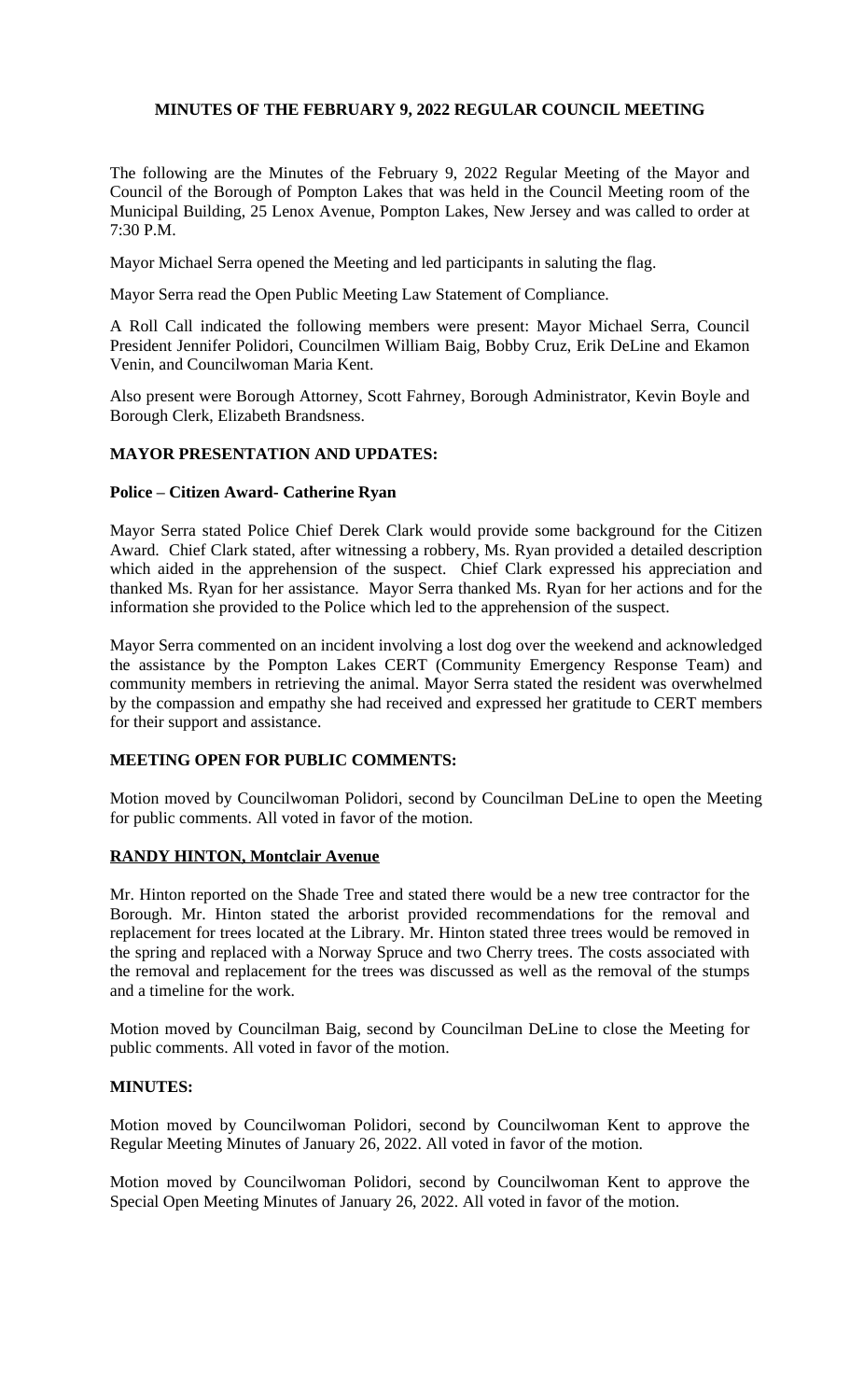## **MINUTES OF THE FEBRUARY 9, 2022 REGULAR COUNCIL MEETING**

The following are the Minutes of the February 9, 2022 Regular Meeting of the Mayor and Council of the Borough of Pompton Lakes that was held in the Council Meeting room of the Municipal Building, 25 Lenox Avenue, Pompton Lakes, New Jersey and was called to order at 7:30 P.M.

Mayor Michael Serra opened the Meeting and led participants in saluting the flag.

Mayor Serra read the Open Public Meeting Law Statement of Compliance.

A Roll Call indicated the following members were present: Mayor Michael Serra, Council President Jennifer Polidori, Councilmen William Baig, Bobby Cruz, Erik DeLine and Ekamon Venin, and Councilwoman Maria Kent.

Also present were Borough Attorney, Scott Fahrney, Borough Administrator, Kevin Boyle and Borough Clerk, Elizabeth Brandsness.

## **MAYOR PRESENTATION AND UPDATES:**

## **Police – Citizen Award- Catherine Ryan**

Mayor Serra stated Police Chief Derek Clark would provide some background for the Citizen Award. Chief Clark stated, after witnessing a robbery, Ms. Ryan provided a detailed description which aided in the apprehension of the suspect. Chief Clark expressed his appreciation and thanked Ms. Ryan for her assistance. Mayor Serra thanked Ms. Ryan for her actions and for the information she provided to the Police which led to the apprehension of the suspect.

Mayor Serra commented on an incident involving a lost dog over the weekend and acknowledged the assistance by the Pompton Lakes CERT (Community Emergency Response Team) and community members in retrieving the animal. Mayor Serra stated the resident was overwhelmed by the compassion and empathy she had received and expressed her gratitude to CERT members for their support and assistance.

## **MEETING OPEN FOR PUBLIC COMMENTS:**

Motion moved by Councilwoman Polidori, second by Councilman DeLine to open the Meeting for public comments. All voted in favor of the motion.

## **RANDY HINTON, Montclair Avenue**

Mr. Hinton reported on the Shade Tree and stated there would be a new tree contractor for the Borough. Mr. Hinton stated the arborist provided recommendations for the removal and replacement for trees located at the Library. Mr. Hinton stated three trees would be removed in the spring and replaced with a Norway Spruce and two Cherry trees. The costs associated with the removal and replacement for the trees was discussed as well as the removal of the stumps and a timeline for the work.

Motion moved by Councilman Baig, second by Councilman DeLine to close the Meeting for public comments. All voted in favor of the motion.

#### **MINUTES:**

Motion moved by Councilwoman Polidori, second by Councilwoman Kent to approve the Regular Meeting Minutes of January 26, 2022. All voted in favor of the motion.

Motion moved by Councilwoman Polidori, second by Councilwoman Kent to approve the Special Open Meeting Minutes of January 26, 2022. All voted in favor of the motion.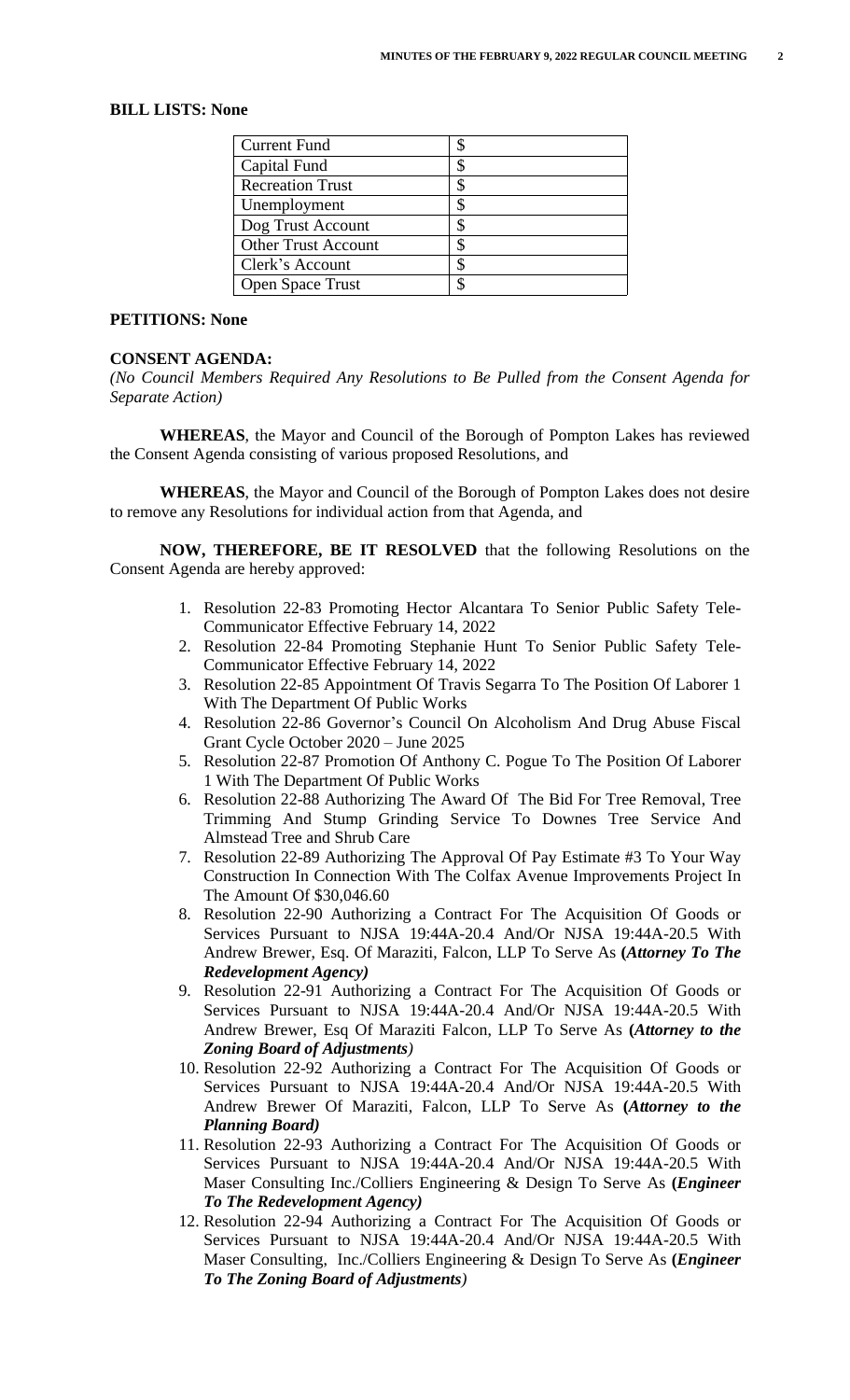## **BILL LISTS: None**

| <b>Current Fund</b>        |  |
|----------------------------|--|
| Capital Fund               |  |
| <b>Recreation Trust</b>    |  |
| Unemployment               |  |
| Dog Trust Account          |  |
| <b>Other Trust Account</b> |  |
| Clerk's Account            |  |
| <b>Open Space Trust</b>    |  |

#### **PETITIONS: None**

#### **CONSENT AGENDA:**

*(No Council Members Required Any Resolutions to Be Pulled from the Consent Agenda for Separate Action)*

**WHEREAS**, the Mayor and Council of the Borough of Pompton Lakes has reviewed the Consent Agenda consisting of various proposed Resolutions, and

**WHEREAS**, the Mayor and Council of the Borough of Pompton Lakes does not desire to remove any Resolutions for individual action from that Agenda, and

**NOW, THEREFORE, BE IT RESOLVED** that the following Resolutions on the Consent Agenda are hereby approved:

- 1. Resolution 22-83 Promoting Hector Alcantara To Senior Public Safety Tele-Communicator Effective February 14, 2022
- 2. Resolution 22-84 Promoting Stephanie Hunt To Senior Public Safety Tele-Communicator Effective February 14, 2022
- 3. Resolution 22-85 Appointment Of Travis Segarra To The Position Of Laborer 1 With The Department Of Public Works
- 4. Resolution 22-86 Governor's Council On Alcoholism And Drug Abuse Fiscal Grant Cycle October 2020 – June 2025
- 5. Resolution 22-87 Promotion Of Anthony C. Pogue To The Position Of Laborer 1 With The Department Of Public Works
- 6. Resolution 22-88 Authorizing The Award Of The Bid For Tree Removal, Tree Trimming And Stump Grinding Service To Downes Tree Service And Almstead Tree and Shrub Care
- 7. Resolution 22-89 Authorizing The Approval Of Pay Estimate #3 To Your Way Construction In Connection With The Colfax Avenue Improvements Project In The Amount Of \$30,046.60
- 8. Resolution 22-90 Authorizing a Contract For The Acquisition Of Goods or Services Pursuant to NJSA 19:44A-20.4 And/Or NJSA 19:44A-20.5 With Andrew Brewer, Esq. Of Maraziti, Falcon, LLP To Serve As **(***Attorney To The Redevelopment Agency)*
- 9. Resolution 22-91 Authorizing a Contract For The Acquisition Of Goods or Services Pursuant to NJSA 19:44A-20.4 And/Or NJSA 19:44A-20.5 With Andrew Brewer, Esq Of Maraziti Falcon, LLP To Serve As **(***Attorney to the Zoning Board of Adjustments)*
- 10. Resolution 22-92 Authorizing a Contract For The Acquisition Of Goods or Services Pursuant to NJSA 19:44A-20.4 And/Or NJSA 19:44A-20.5 With Andrew Brewer Of Maraziti, Falcon, LLP To Serve As **(***Attorney to the Planning Board)*
- 11. Resolution 22-93 Authorizing a Contract For The Acquisition Of Goods or Services Pursuant to NJSA 19:44A-20.4 And/Or NJSA 19:44A-20.5 With Maser Consulting Inc./Colliers Engineering & Design To Serve As **(***Engineer To The Redevelopment Agency)*
- 12. Resolution 22-94 Authorizing a Contract For The Acquisition Of Goods or Services Pursuant to NJSA 19:44A-20.4 And/Or NJSA 19:44A-20.5 With Maser Consulting, Inc./Colliers Engineering & Design To Serve As **(***Engineer To The Zoning Board of Adjustments)*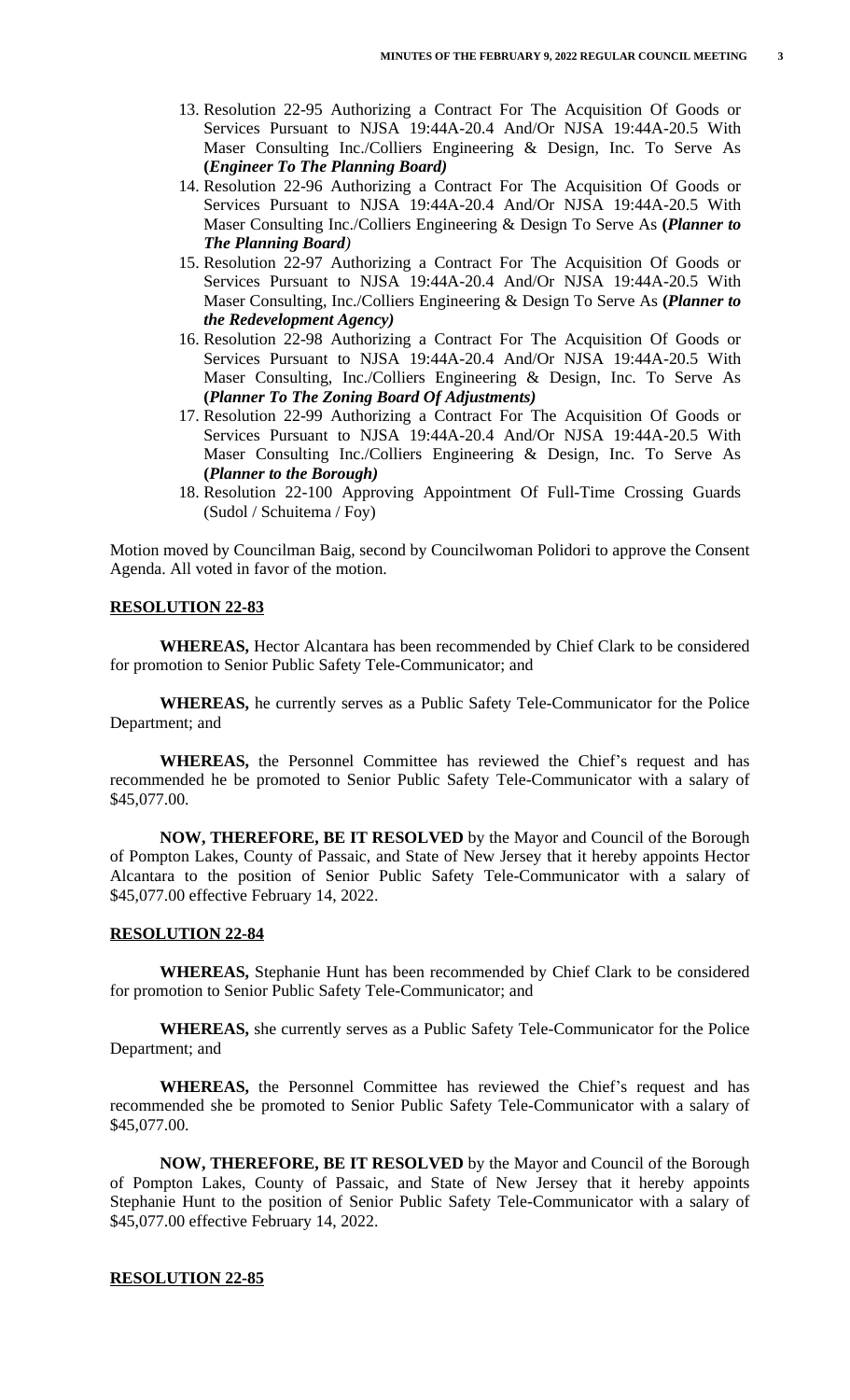- 13. Resolution 22-95 Authorizing a Contract For The Acquisition Of Goods or Services Pursuant to NJSA 19:44A-20.4 And/Or NJSA 19:44A-20.5 With Maser Consulting Inc./Colliers Engineering & Design, Inc. To Serve As **(***Engineer To The Planning Board)*
- 14. Resolution 22-96 Authorizing a Contract For The Acquisition Of Goods or Services Pursuant to NJSA 19:44A-20.4 And/Or NJSA 19:44A-20.5 With Maser Consulting Inc./Colliers Engineering & Design To Serve As **(***Planner to The Planning Board)*
- 15. Resolution 22-97 Authorizing a Contract For The Acquisition Of Goods or Services Pursuant to NJSA 19:44A-20.4 And/Or NJSA 19:44A-20.5 With Maser Consulting, Inc./Colliers Engineering & Design To Serve As **(***Planner to the Redevelopment Agency)*
- 16. Resolution 22-98 Authorizing a Contract For The Acquisition Of Goods or Services Pursuant to NJSA 19:44A-20.4 And/Or NJSA 19:44A-20.5 With Maser Consulting, Inc./Colliers Engineering & Design, Inc. To Serve As **(***Planner To The Zoning Board Of Adjustments)*
- 17. Resolution 22-99 Authorizing a Contract For The Acquisition Of Goods or Services Pursuant to NJSA 19:44A-20.4 And/Or NJSA 19:44A-20.5 With Maser Consulting Inc./Colliers Engineering & Design, Inc. To Serve As **(***Planner to the Borough)*
- 18. Resolution 22-100 Approving Appointment Of Full-Time Crossing Guards (Sudol / Schuitema / Foy)

Motion moved by Councilman Baig, second by Councilwoman Polidori to approve the Consent Agenda. All voted in favor of the motion.

## **RESOLUTION 22-83**

**WHEREAS,** Hector Alcantara has been recommended by Chief Clark to be considered for promotion to Senior Public Safety Tele-Communicator; and

**WHEREAS,** he currently serves as a Public Safety Tele-Communicator for the Police Department; and

**WHEREAS,** the Personnel Committee has reviewed the Chief's request and has recommended he be promoted to Senior Public Safety Tele-Communicator with a salary of \$45,077.00.

**NOW, THEREFORE, BE IT RESOLVED** by the Mayor and Council of the Borough of Pompton Lakes, County of Passaic, and State of New Jersey that it hereby appoints Hector Alcantara to the position of Senior Public Safety Tele-Communicator with a salary of \$45,077.00 effective February 14, 2022.

#### **RESOLUTION 22-84**

**WHEREAS,** Stephanie Hunt has been recommended by Chief Clark to be considered for promotion to Senior Public Safety Tele-Communicator; and

**WHEREAS,** she currently serves as a Public Safety Tele-Communicator for the Police Department; and

**WHEREAS,** the Personnel Committee has reviewed the Chief's request and has recommended she be promoted to Senior Public Safety Tele-Communicator with a salary of \$45,077.00.

**NOW, THEREFORE, BE IT RESOLVED** by the Mayor and Council of the Borough of Pompton Lakes, County of Passaic, and State of New Jersey that it hereby appoints Stephanie Hunt to the position of Senior Public Safety Tele-Communicator with a salary of \$45,077.00 effective February 14, 2022.

#### **RESOLUTION 22-85**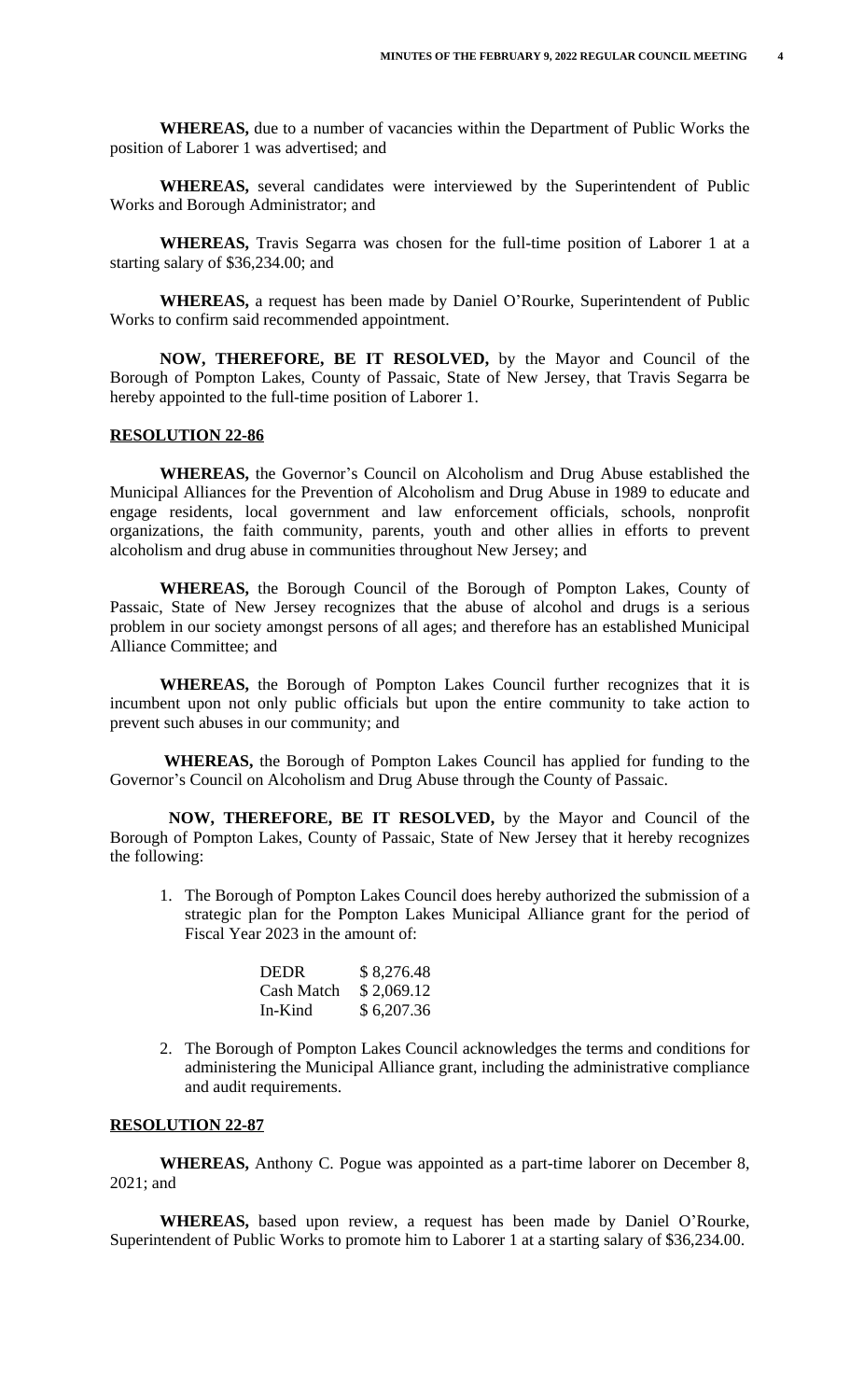**WHEREAS,** due to a number of vacancies within the Department of Public Works the position of Laborer 1 was advertised; and

**WHEREAS,** several candidates were interviewed by the Superintendent of Public Works and Borough Administrator; and

**WHEREAS,** Travis Segarra was chosen for the full-time position of Laborer 1 at a starting salary of \$36,234.00; and

**WHEREAS,** a request has been made by Daniel O'Rourke, Superintendent of Public Works to confirm said recommended appointment.

**NOW, THEREFORE, BE IT RESOLVED,** by the Mayor and Council of the Borough of Pompton Lakes, County of Passaic, State of New Jersey, that Travis Segarra be hereby appointed to the full-time position of Laborer 1.

# **RESOLUTION 22-86**

**WHEREAS,** the Governor's Council on Alcoholism and Drug Abuse established the Municipal Alliances for the Prevention of Alcoholism and Drug Abuse in 1989 to educate and engage residents, local government and law enforcement officials, schools, nonprofit organizations, the faith community, parents, youth and other allies in efforts to prevent alcoholism and drug abuse in communities throughout New Jersey; and

 **WHEREAS,** the Borough Council of the Borough of Pompton Lakes, County of Passaic, State of New Jersey recognizes that the abuse of alcohol and drugs is a serious problem in our society amongst persons of all ages; and therefore has an established Municipal Alliance Committee; and

 **WHEREAS,** the Borough of Pompton Lakes Council further recognizes that it is incumbent upon not only public officials but upon the entire community to take action to prevent such abuses in our community; and

 **WHEREAS,** the Borough of Pompton Lakes Council has applied for funding to the Governor's Council on Alcoholism and Drug Abuse through the County of Passaic.

 **NOW, THEREFORE, BE IT RESOLVED,** by the Mayor and Council of the Borough of Pompton Lakes, County of Passaic, State of New Jersey that it hereby recognizes the following:

1. The Borough of Pompton Lakes Council does hereby authorized the submission of a strategic plan for the Pompton Lakes Municipal Alliance grant for the period of Fiscal Year 2023 in the amount of:

| <b>DEDR</b> | \$8,276.48 |
|-------------|------------|
| Cash Match  | \$2,069.12 |
| In-Kind     | \$6,207.36 |

2. The Borough of Pompton Lakes Council acknowledges the terms and conditions for administering the Municipal Alliance grant, including the administrative compliance and audit requirements.

#### **RESOLUTION 22-87**

**WHEREAS,** Anthony C. Pogue was appointed as a part-time laborer on December 8, 2021; and

**WHEREAS,** based upon review, a request has been made by Daniel O'Rourke, Superintendent of Public Works to promote him to Laborer 1 at a starting salary of \$36,234.00.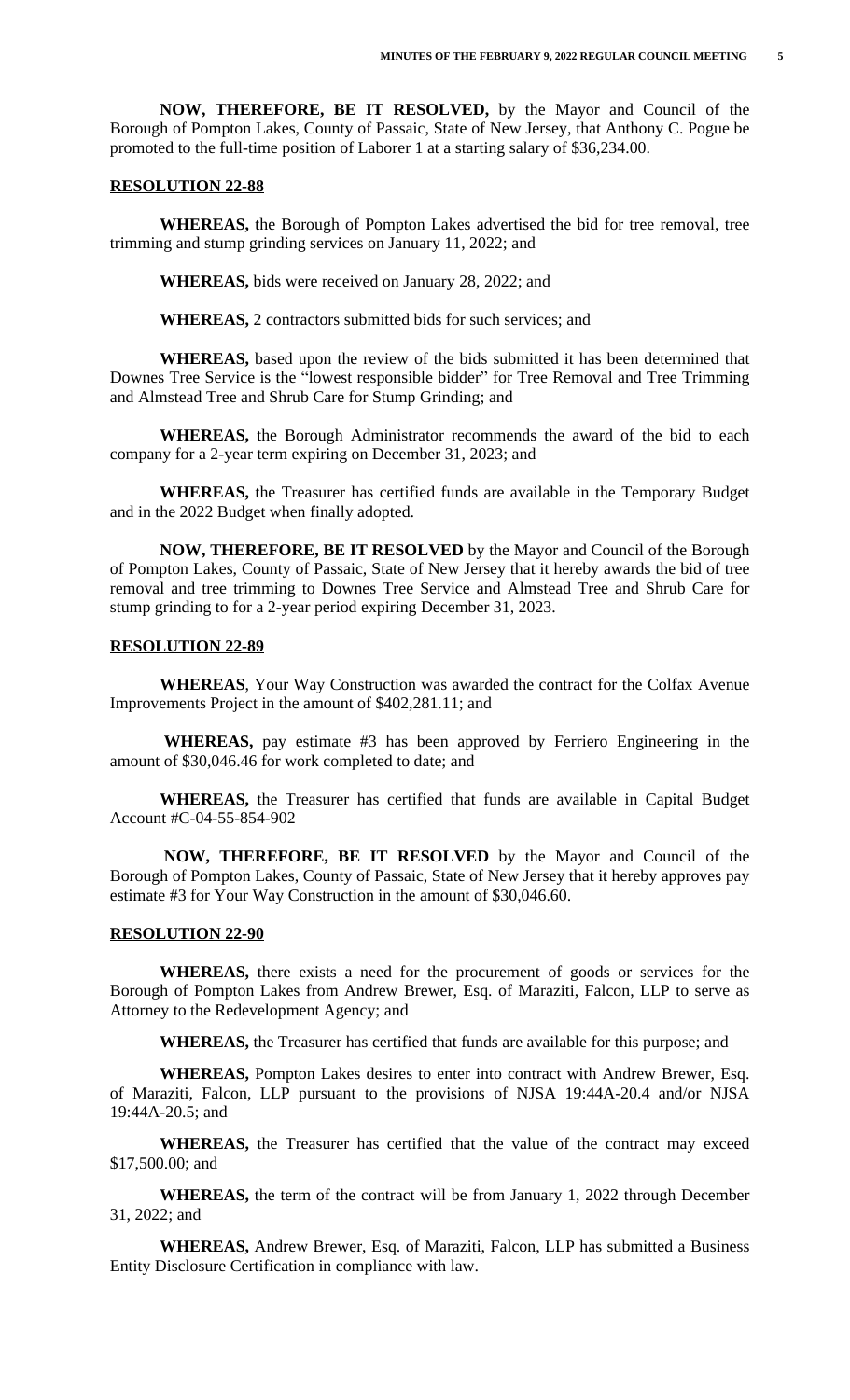**NOW, THEREFORE, BE IT RESOLVED,** by the Mayor and Council of the Borough of Pompton Lakes, County of Passaic, State of New Jersey, that Anthony C. Pogue be promoted to the full-time position of Laborer 1 at a starting salary of \$36,234.00.

#### **RESOLUTION 22-88**

**WHEREAS,** the Borough of Pompton Lakes advertised the bid for tree removal, tree trimming and stump grinding services on January 11, 2022; and

**WHEREAS,** bids were received on January 28, 2022; and

**WHEREAS,** 2 contractors submitted bids for such services; and

**WHEREAS,** based upon the review of the bids submitted it has been determined that Downes Tree Service is the "lowest responsible bidder" for Tree Removal and Tree Trimming and Almstead Tree and Shrub Care for Stump Grinding; and

**WHEREAS,** the Borough Administrator recommends the award of the bid to each company for a 2-year term expiring on December 31, 2023; and

**WHEREAS,** the Treasurer has certified funds are available in the Temporary Budget and in the 2022 Budget when finally adopted.

**NOW, THEREFORE, BE IT RESOLVED** by the Mayor and Council of the Borough of Pompton Lakes, County of Passaic, State of New Jersey that it hereby awards the bid of tree removal and tree trimming to Downes Tree Service and Almstead Tree and Shrub Care for stump grinding to for a 2-year period expiring December 31, 2023.

#### **RESOLUTION 22-89**

**WHEREAS**, Your Way Construction was awarded the contract for the Colfax Avenue Improvements Project in the amount of \$402,281.11; and

 **WHEREAS,** pay estimate #3 has been approved by Ferriero Engineering in the amount of \$30,046.46 for work completed to date; and

**WHEREAS,** the Treasurer has certified that funds are available in Capital Budget Account #C-04-55-854-902

 **NOW, THEREFORE, BE IT RESOLVED** by the Mayor and Council of the Borough of Pompton Lakes, County of Passaic, State of New Jersey that it hereby approves pay estimate #3 for Your Way Construction in the amount of \$30,046.60.

#### **RESOLUTION 22-90**

**WHEREAS,** there exists a need for the procurement of goods or services for the Borough of Pompton Lakes from Andrew Brewer, Esq. of Maraziti, Falcon, LLP to serve as Attorney to the Redevelopment Agency; and

**WHEREAS,** the Treasurer has certified that funds are available for this purpose; and

**WHEREAS,** Pompton Lakes desires to enter into contract with Andrew Brewer, Esq. of Maraziti, Falcon, LLP pursuant to the provisions of NJSA 19:44A-20.4 and/or NJSA 19:44A-20.5; and

**WHEREAS,** the Treasurer has certified that the value of the contract may exceed \$17,500.00; and

**WHEREAS,** the term of the contract will be from January 1, 2022 through December 31, 2022; and

**WHEREAS,** Andrew Brewer, Esq. of Maraziti, Falcon, LLP has submitted a Business Entity Disclosure Certification in compliance with law.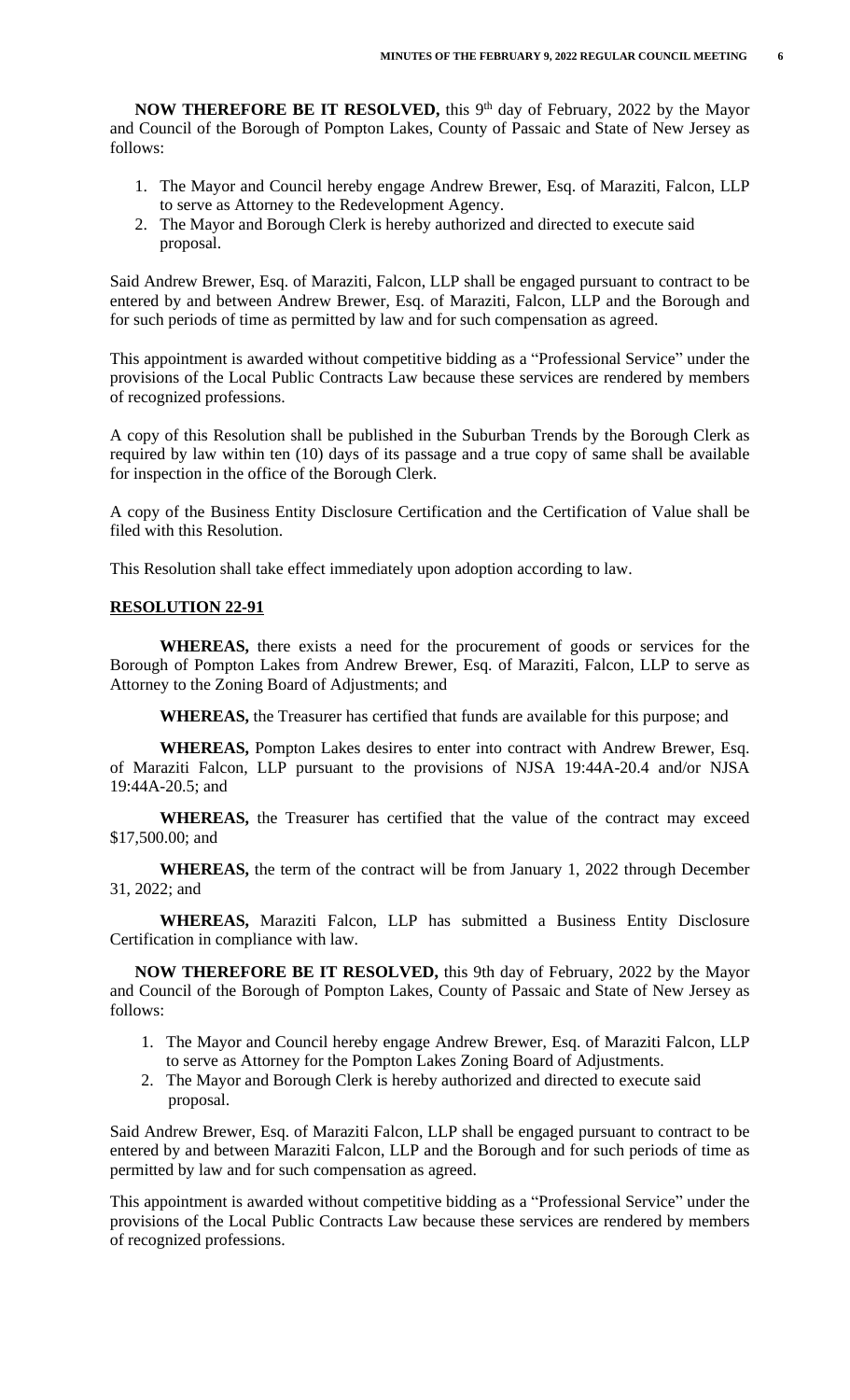**NOW THEREFORE BE IT RESOLVED,** this 9<sup>th</sup> day of February, 2022 by the Mayor and Council of the Borough of Pompton Lakes, County of Passaic and State of New Jersey as follows:

- 1. The Mayor and Council hereby engage Andrew Brewer, Esq. of Maraziti, Falcon, LLP to serve as Attorney to the Redevelopment Agency.
- 2. The Mayor and Borough Clerk is hereby authorized and directed to execute said proposal.

Said Andrew Brewer, Esq. of Maraziti, Falcon, LLP shall be engaged pursuant to contract to be entered by and between Andrew Brewer, Esq. of Maraziti, Falcon, LLP and the Borough and for such periods of time as permitted by law and for such compensation as agreed.

This appointment is awarded without competitive bidding as a "Professional Service" under the provisions of the Local Public Contracts Law because these services are rendered by members of recognized professions.

A copy of this Resolution shall be published in the Suburban Trends by the Borough Clerk as required by law within ten (10) days of its passage and a true copy of same shall be available for inspection in the office of the Borough Clerk.

A copy of the Business Entity Disclosure Certification and the Certification of Value shall be filed with this Resolution.

This Resolution shall take effect immediately upon adoption according to law.

## **RESOLUTION 22-91**

**WHEREAS,** there exists a need for the procurement of goods or services for the Borough of Pompton Lakes from Andrew Brewer, Esq. of Maraziti, Falcon, LLP to serve as Attorney to the Zoning Board of Adjustments; and

**WHEREAS,** the Treasurer has certified that funds are available for this purpose; and

**WHEREAS,** Pompton Lakes desires to enter into contract with Andrew Brewer, Esq. of Maraziti Falcon, LLP pursuant to the provisions of NJSA 19:44A-20.4 and/or NJSA 19:44A-20.5; and

**WHEREAS,** the Treasurer has certified that the value of the contract may exceed \$17,500.00; and

**WHEREAS,** the term of the contract will be from January 1, 2022 through December 31, 2022; and

**WHEREAS,** Maraziti Falcon, LLP has submitted a Business Entity Disclosure Certification in compliance with law.

**NOW THEREFORE BE IT RESOLVED,** this 9th day of February, 2022 by the Mayor and Council of the Borough of Pompton Lakes, County of Passaic and State of New Jersey as follows:

- 1. The Mayor and Council hereby engage Andrew Brewer, Esq. of Maraziti Falcon, LLP to serve as Attorney for the Pompton Lakes Zoning Board of Adjustments.
- 2. The Mayor and Borough Clerk is hereby authorized and directed to execute said proposal.

Said Andrew Brewer, Esq. of Maraziti Falcon, LLP shall be engaged pursuant to contract to be entered by and between Maraziti Falcon, LLP and the Borough and for such periods of time as permitted by law and for such compensation as agreed.

This appointment is awarded without competitive bidding as a "Professional Service" under the provisions of the Local Public Contracts Law because these services are rendered by members of recognized professions.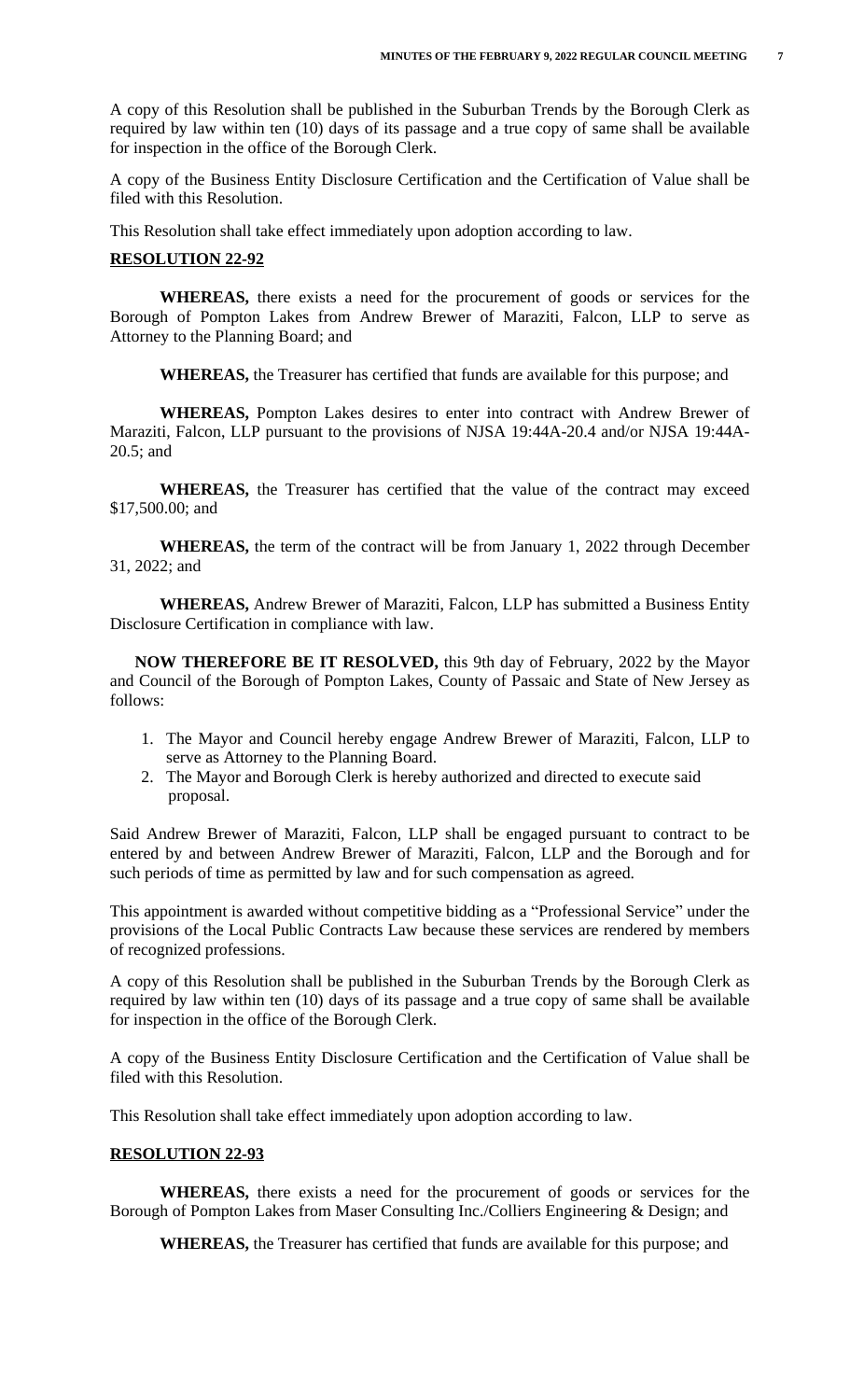A copy of this Resolution shall be published in the Suburban Trends by the Borough Clerk as required by law within ten (10) days of its passage and a true copy of same shall be available for inspection in the office of the Borough Clerk.

A copy of the Business Entity Disclosure Certification and the Certification of Value shall be filed with this Resolution.

This Resolution shall take effect immediately upon adoption according to law.

## **RESOLUTION 22-92**

**WHEREAS,** there exists a need for the procurement of goods or services for the Borough of Pompton Lakes from Andrew Brewer of Maraziti, Falcon, LLP to serve as Attorney to the Planning Board; and

**WHEREAS,** the Treasurer has certified that funds are available for this purpose; and

**WHEREAS,** Pompton Lakes desires to enter into contract with Andrew Brewer of Maraziti, Falcon, LLP pursuant to the provisions of NJSA 19:44A-20.4 and/or NJSA 19:44A-20.5; and

**WHEREAS,** the Treasurer has certified that the value of the contract may exceed \$17,500.00; and

**WHEREAS,** the term of the contract will be from January 1, 2022 through December 31, 2022; and

**WHEREAS,** Andrew Brewer of Maraziti, Falcon, LLP has submitted a Business Entity Disclosure Certification in compliance with law.

**NOW THEREFORE BE IT RESOLVED,** this 9th day of February, 2022 by the Mayor and Council of the Borough of Pompton Lakes, County of Passaic and State of New Jersey as follows:

- 1. The Mayor and Council hereby engage Andrew Brewer of Maraziti, Falcon, LLP to serve as Attorney to the Planning Board.
- 2. The Mayor and Borough Clerk is hereby authorized and directed to execute said proposal.

Said Andrew Brewer of Maraziti, Falcon, LLP shall be engaged pursuant to contract to be entered by and between Andrew Brewer of Maraziti, Falcon, LLP and the Borough and for such periods of time as permitted by law and for such compensation as agreed.

This appointment is awarded without competitive bidding as a "Professional Service" under the provisions of the Local Public Contracts Law because these services are rendered by members of recognized professions.

A copy of this Resolution shall be published in the Suburban Trends by the Borough Clerk as required by law within ten (10) days of its passage and a true copy of same shall be available for inspection in the office of the Borough Clerk.

A copy of the Business Entity Disclosure Certification and the Certification of Value shall be filed with this Resolution.

This Resolution shall take effect immediately upon adoption according to law.

#### **RESOLUTION 22-93**

**WHEREAS,** there exists a need for the procurement of goods or services for the Borough of Pompton Lakes from Maser Consulting Inc./Colliers Engineering & Design; and

**WHEREAS,** the Treasurer has certified that funds are available for this purpose; and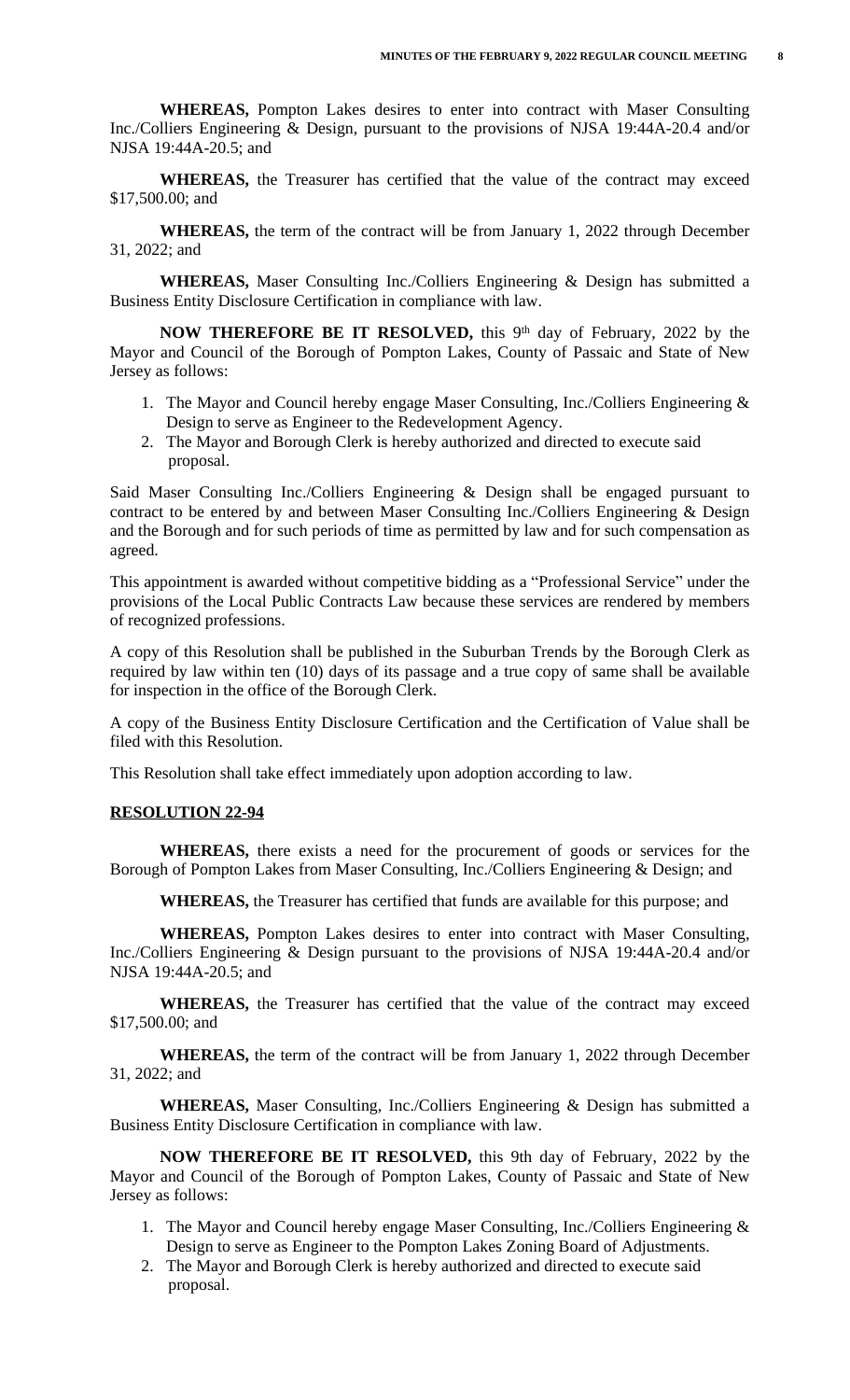**WHEREAS,** Pompton Lakes desires to enter into contract with Maser Consulting Inc./Colliers Engineering & Design, pursuant to the provisions of NJSA 19:44A-20.4 and/or NJSA 19:44A-20.5; and

**WHEREAS,** the Treasurer has certified that the value of the contract may exceed \$17,500.00; and

**WHEREAS,** the term of the contract will be from January 1, 2022 through December 31, 2022; and

**WHEREAS,** Maser Consulting Inc./Colliers Engineering & Design has submitted a Business Entity Disclosure Certification in compliance with law.

**NOW THEREFORE BE IT RESOLVED,** this 9<sup>th</sup> day of February, 2022 by the Mayor and Council of the Borough of Pompton Lakes, County of Passaic and State of New Jersey as follows:

- 1. The Mayor and Council hereby engage Maser Consulting, Inc./Colliers Engineering & Design to serve as Engineer to the Redevelopment Agency.
- 2. The Mayor and Borough Clerk is hereby authorized and directed to execute said proposal.

Said Maser Consulting Inc./Colliers Engineering & Design shall be engaged pursuant to contract to be entered by and between Maser Consulting Inc./Colliers Engineering & Design and the Borough and for such periods of time as permitted by law and for such compensation as agreed.

This appointment is awarded without competitive bidding as a "Professional Service" under the provisions of the Local Public Contracts Law because these services are rendered by members of recognized professions.

A copy of this Resolution shall be published in the Suburban Trends by the Borough Clerk as required by law within ten (10) days of its passage and a true copy of same shall be available for inspection in the office of the Borough Clerk.

A copy of the Business Entity Disclosure Certification and the Certification of Value shall be filed with this Resolution.

This Resolution shall take effect immediately upon adoption according to law.

## **RESOLUTION 22-94**

**WHEREAS,** there exists a need for the procurement of goods or services for the Borough of Pompton Lakes from Maser Consulting, Inc./Colliers Engineering & Design; and

**WHEREAS,** the Treasurer has certified that funds are available for this purpose; and

**WHEREAS,** Pompton Lakes desires to enter into contract with Maser Consulting, Inc./Colliers Engineering & Design pursuant to the provisions of NJSA 19:44A-20.4 and/or NJSA 19:44A-20.5; and

**WHEREAS,** the Treasurer has certified that the value of the contract may exceed \$17,500.00; and

**WHEREAS,** the term of the contract will be from January 1, 2022 through December 31, 2022; and

**WHEREAS,** Maser Consulting, Inc./Colliers Engineering & Design has submitted a Business Entity Disclosure Certification in compliance with law.

**NOW THEREFORE BE IT RESOLVED,** this 9th day of February, 2022 by the Mayor and Council of the Borough of Pompton Lakes, County of Passaic and State of New Jersey as follows:

- 1. The Mayor and Council hereby engage Maser Consulting, Inc./Colliers Engineering & Design to serve as Engineer to the Pompton Lakes Zoning Board of Adjustments.
- 2. The Mayor and Borough Clerk is hereby authorized and directed to execute said proposal.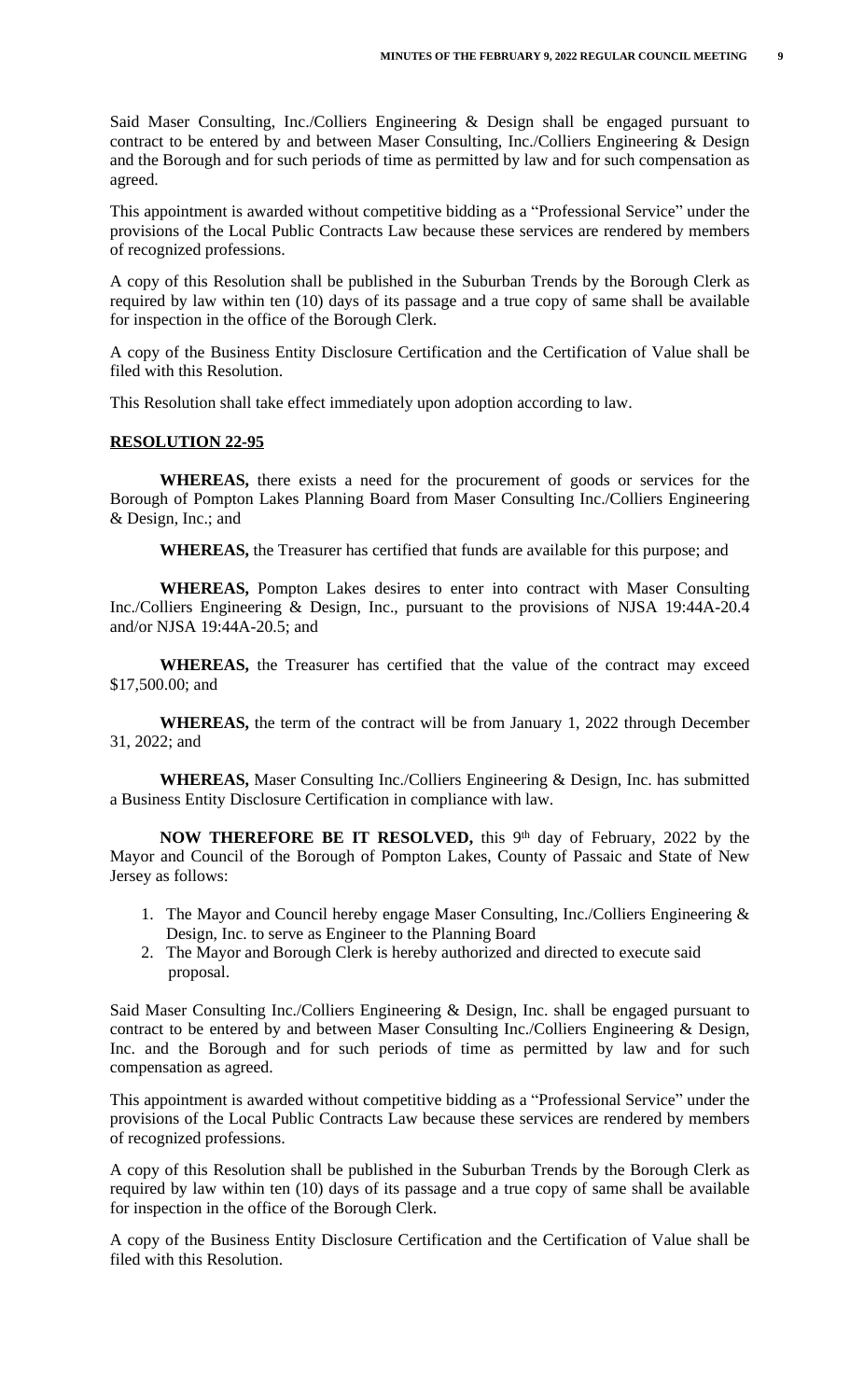Said Maser Consulting, Inc./Colliers Engineering & Design shall be engaged pursuant to contract to be entered by and between Maser Consulting, Inc./Colliers Engineering & Design and the Borough and for such periods of time as permitted by law and for such compensation as agreed.

This appointment is awarded without competitive bidding as a "Professional Service" under the provisions of the Local Public Contracts Law because these services are rendered by members of recognized professions.

A copy of this Resolution shall be published in the Suburban Trends by the Borough Clerk as required by law within ten (10) days of its passage and a true copy of same shall be available for inspection in the office of the Borough Clerk.

A copy of the Business Entity Disclosure Certification and the Certification of Value shall be filed with this Resolution.

This Resolution shall take effect immediately upon adoption according to law.

#### **RESOLUTION 22-95**

**WHEREAS,** there exists a need for the procurement of goods or services for the Borough of Pompton Lakes Planning Board from Maser Consulting Inc./Colliers Engineering & Design, Inc.; and

**WHEREAS,** the Treasurer has certified that funds are available for this purpose; and

**WHEREAS,** Pompton Lakes desires to enter into contract with Maser Consulting Inc./Colliers Engineering & Design, Inc., pursuant to the provisions of NJSA 19:44A-20.4 and/or NJSA 19:44A-20.5; and

**WHEREAS,** the Treasurer has certified that the value of the contract may exceed \$17,500.00; and

**WHEREAS,** the term of the contract will be from January 1, 2022 through December 31, 2022; and

**WHEREAS,** Maser Consulting Inc./Colliers Engineering & Design, Inc. has submitted a Business Entity Disclosure Certification in compliance with law.

**NOW THEREFORE BE IT RESOLVED,** this 9<sup>th</sup> day of February, 2022 by the Mayor and Council of the Borough of Pompton Lakes, County of Passaic and State of New Jersey as follows:

- 1. The Mayor and Council hereby engage Maser Consulting, Inc./Colliers Engineering & Design, Inc. to serve as Engineer to the Planning Board
- 2. The Mayor and Borough Clerk is hereby authorized and directed to execute said proposal.

Said Maser Consulting Inc./Colliers Engineering & Design, Inc. shall be engaged pursuant to contract to be entered by and between Maser Consulting Inc./Colliers Engineering & Design, Inc. and the Borough and for such periods of time as permitted by law and for such compensation as agreed.

This appointment is awarded without competitive bidding as a "Professional Service" under the provisions of the Local Public Contracts Law because these services are rendered by members of recognized professions.

A copy of this Resolution shall be published in the Suburban Trends by the Borough Clerk as required by law within ten (10) days of its passage and a true copy of same shall be available for inspection in the office of the Borough Clerk.

A copy of the Business Entity Disclosure Certification and the Certification of Value shall be filed with this Resolution.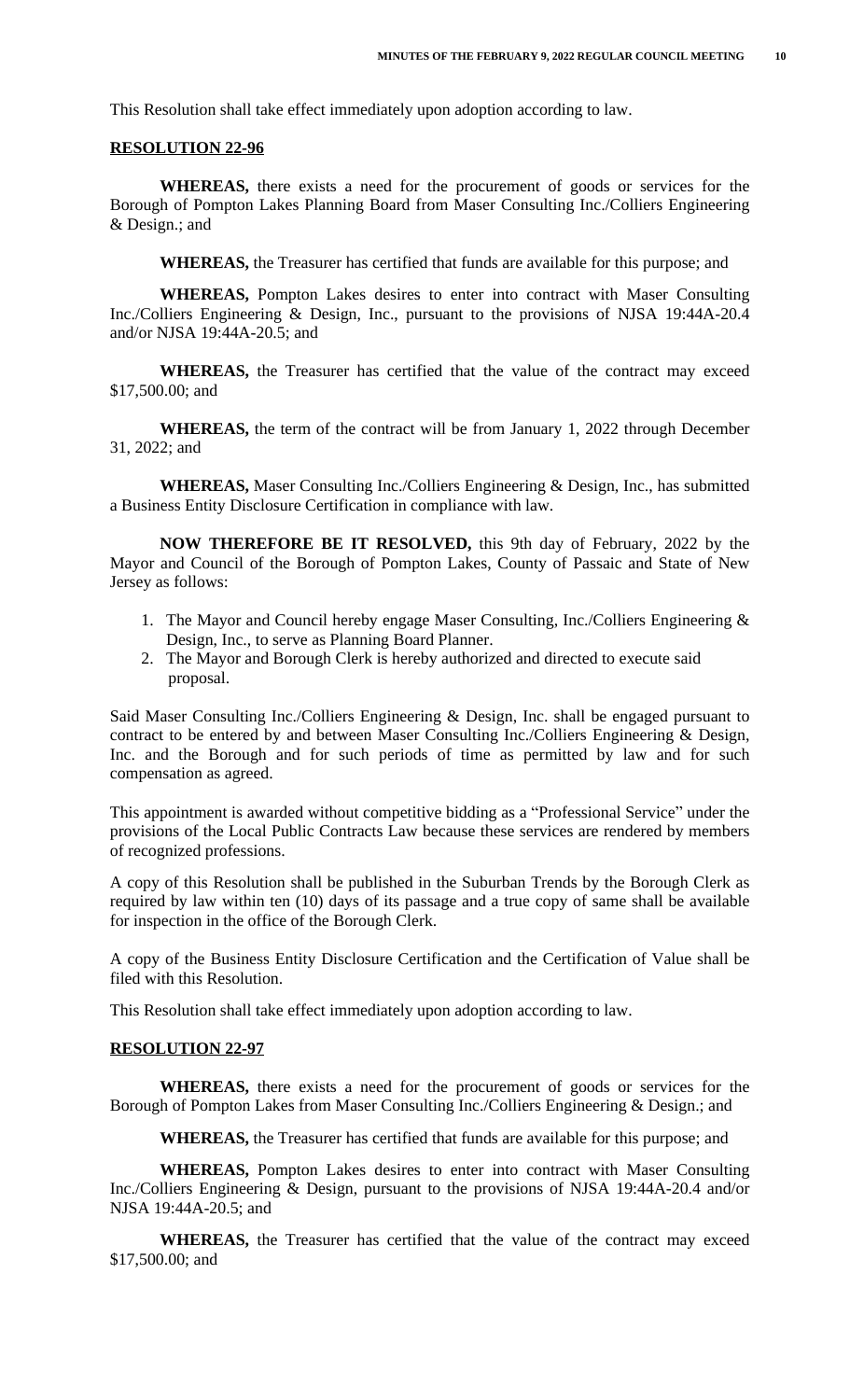This Resolution shall take effect immediately upon adoption according to law.

#### **RESOLUTION 22-96**

**WHEREAS,** there exists a need for the procurement of goods or services for the Borough of Pompton Lakes Planning Board from Maser Consulting Inc./Colliers Engineering & Design.; and

**WHEREAS,** the Treasurer has certified that funds are available for this purpose; and

**WHEREAS,** Pompton Lakes desires to enter into contract with Maser Consulting Inc./Colliers Engineering & Design, Inc., pursuant to the provisions of NJSA 19:44A-20.4 and/or NJSA 19:44A-20.5; and

**WHEREAS,** the Treasurer has certified that the value of the contract may exceed \$17,500.00; and

**WHEREAS,** the term of the contract will be from January 1, 2022 through December 31, 2022; and

**WHEREAS,** Maser Consulting Inc./Colliers Engineering & Design, Inc., has submitted a Business Entity Disclosure Certification in compliance with law.

**NOW THEREFORE BE IT RESOLVED,** this 9th day of February, 2022 by the Mayor and Council of the Borough of Pompton Lakes, County of Passaic and State of New Jersey as follows:

- 1. The Mayor and Council hereby engage Maser Consulting, Inc./Colliers Engineering & Design, Inc., to serve as Planning Board Planner.
- 2. The Mayor and Borough Clerk is hereby authorized and directed to execute said proposal.

Said Maser Consulting Inc./Colliers Engineering & Design, Inc. shall be engaged pursuant to contract to be entered by and between Maser Consulting Inc./Colliers Engineering & Design, Inc. and the Borough and for such periods of time as permitted by law and for such compensation as agreed.

This appointment is awarded without competitive bidding as a "Professional Service" under the provisions of the Local Public Contracts Law because these services are rendered by members of recognized professions.

A copy of this Resolution shall be published in the Suburban Trends by the Borough Clerk as required by law within ten (10) days of its passage and a true copy of same shall be available for inspection in the office of the Borough Clerk.

A copy of the Business Entity Disclosure Certification and the Certification of Value shall be filed with this Resolution.

This Resolution shall take effect immediately upon adoption according to law.

## **RESOLUTION 22-97**

**WHEREAS,** there exists a need for the procurement of goods or services for the Borough of Pompton Lakes from Maser Consulting Inc./Colliers Engineering & Design.; and

**WHEREAS,** the Treasurer has certified that funds are available for this purpose; and

**WHEREAS,** Pompton Lakes desires to enter into contract with Maser Consulting Inc./Colliers Engineering & Design, pursuant to the provisions of NJSA 19:44A-20.4 and/or NJSA 19:44A-20.5; and

**WHEREAS,** the Treasurer has certified that the value of the contract may exceed \$17,500.00; and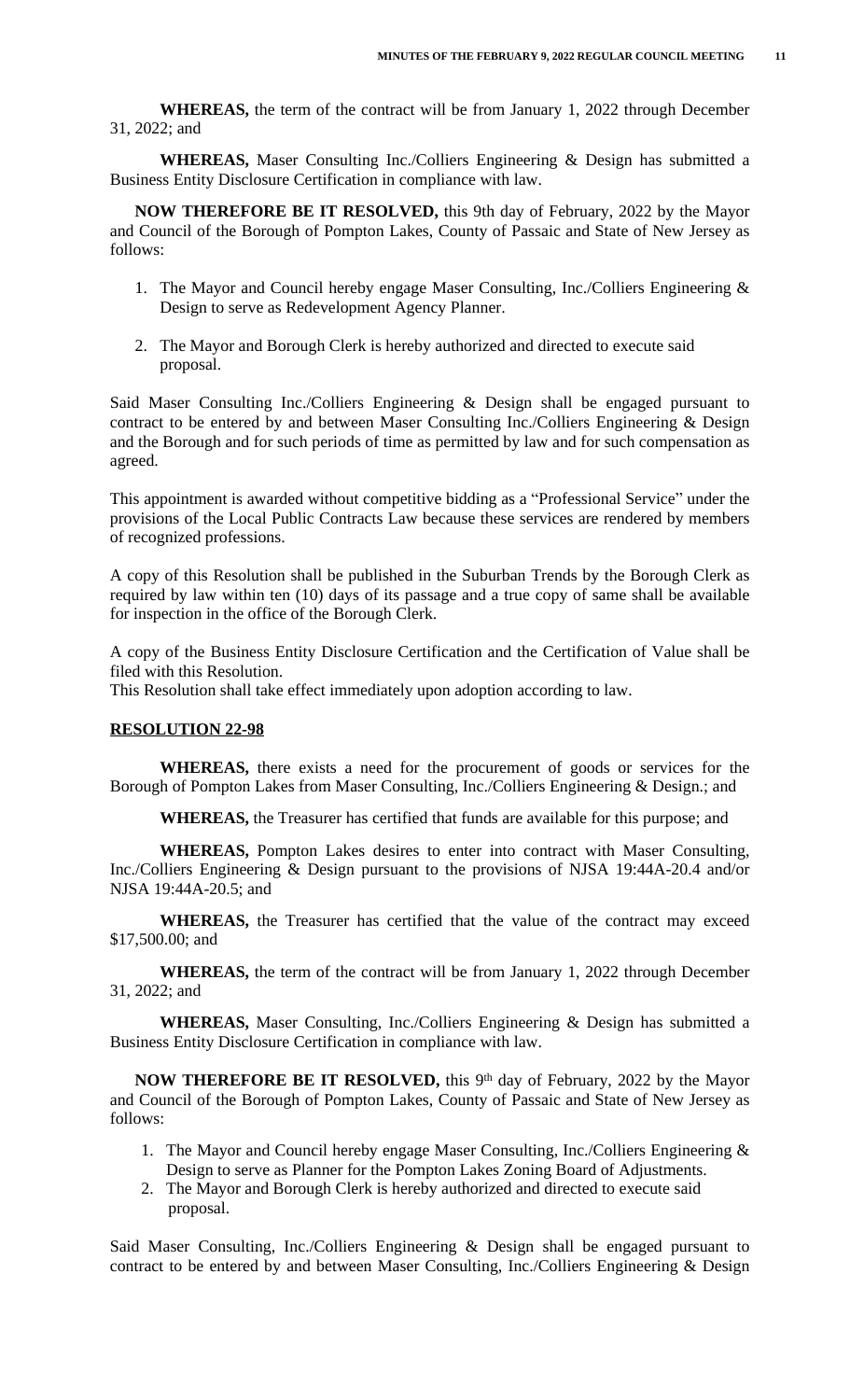**WHEREAS,** the term of the contract will be from January 1, 2022 through December 31, 2022; and

**WHEREAS,** Maser Consulting Inc./Colliers Engineering & Design has submitted a Business Entity Disclosure Certification in compliance with law.

**NOW THEREFORE BE IT RESOLVED,** this 9th day of February, 2022 by the Mayor and Council of the Borough of Pompton Lakes, County of Passaic and State of New Jersey as follows:

- 1. The Mayor and Council hereby engage Maser Consulting, Inc./Colliers Engineering & Design to serve as Redevelopment Agency Planner.
- 2. The Mayor and Borough Clerk is hereby authorized and directed to execute said proposal.

Said Maser Consulting Inc./Colliers Engineering & Design shall be engaged pursuant to contract to be entered by and between Maser Consulting Inc./Colliers Engineering & Design and the Borough and for such periods of time as permitted by law and for such compensation as agreed.

This appointment is awarded without competitive bidding as a "Professional Service" under the provisions of the Local Public Contracts Law because these services are rendered by members of recognized professions.

A copy of this Resolution shall be published in the Suburban Trends by the Borough Clerk as required by law within ten (10) days of its passage and a true copy of same shall be available for inspection in the office of the Borough Clerk.

A copy of the Business Entity Disclosure Certification and the Certification of Value shall be filed with this Resolution.

This Resolution shall take effect immediately upon adoption according to law.

#### **RESOLUTION 22-98**

**WHEREAS,** there exists a need for the procurement of goods or services for the Borough of Pompton Lakes from Maser Consulting, Inc./Colliers Engineering & Design.; and

**WHEREAS,** the Treasurer has certified that funds are available for this purpose; and

**WHEREAS,** Pompton Lakes desires to enter into contract with Maser Consulting, Inc./Colliers Engineering & Design pursuant to the provisions of NJSA 19:44A-20.4 and/or NJSA 19:44A-20.5; and

**WHEREAS,** the Treasurer has certified that the value of the contract may exceed \$17,500.00; and

**WHEREAS,** the term of the contract will be from January 1, 2022 through December 31, 2022; and

**WHEREAS,** Maser Consulting, Inc./Colliers Engineering & Design has submitted a Business Entity Disclosure Certification in compliance with law.

**NOW THEREFORE BE IT RESOLVED,** this 9<sup>th</sup> day of February, 2022 by the Mayor and Council of the Borough of Pompton Lakes, County of Passaic and State of New Jersey as follows:

- 1. The Mayor and Council hereby engage Maser Consulting, Inc./Colliers Engineering & Design to serve as Planner for the Pompton Lakes Zoning Board of Adjustments.
- 2. The Mayor and Borough Clerk is hereby authorized and directed to execute said proposal.

Said Maser Consulting, Inc./Colliers Engineering & Design shall be engaged pursuant to contract to be entered by and between Maser Consulting, Inc./Colliers Engineering & Design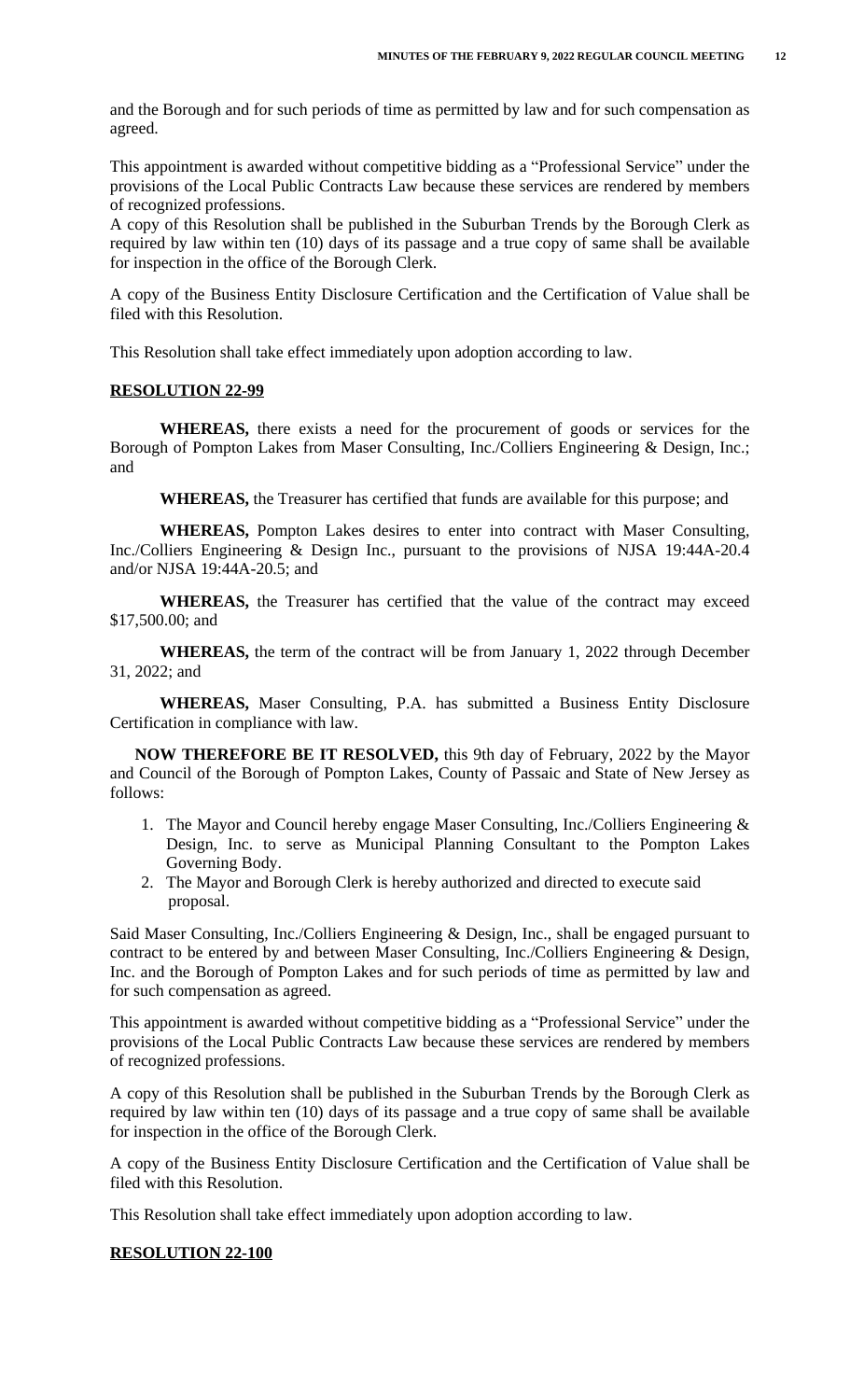and the Borough and for such periods of time as permitted by law and for such compensation as agreed.

This appointment is awarded without competitive bidding as a "Professional Service" under the provisions of the Local Public Contracts Law because these services are rendered by members of recognized professions.

A copy of this Resolution shall be published in the Suburban Trends by the Borough Clerk as required by law within ten (10) days of its passage and a true copy of same shall be available for inspection in the office of the Borough Clerk.

A copy of the Business Entity Disclosure Certification and the Certification of Value shall be filed with this Resolution.

This Resolution shall take effect immediately upon adoption according to law.

#### **RESOLUTION 22-99**

**WHEREAS,** there exists a need for the procurement of goods or services for the Borough of Pompton Lakes from Maser Consulting, Inc./Colliers Engineering & Design, Inc.; and

**WHEREAS,** the Treasurer has certified that funds are available for this purpose; and

**WHEREAS,** Pompton Lakes desires to enter into contract with Maser Consulting, Inc./Colliers Engineering & Design Inc., pursuant to the provisions of NJSA 19:44A-20.4 and/or NJSA 19:44A-20.5; and

**WHEREAS,** the Treasurer has certified that the value of the contract may exceed \$17,500.00; and

**WHEREAS,** the term of the contract will be from January 1, 2022 through December 31, 2022; and

**WHEREAS,** Maser Consulting, P.A. has submitted a Business Entity Disclosure Certification in compliance with law.

**NOW THEREFORE BE IT RESOLVED,** this 9th day of February, 2022 by the Mayor and Council of the Borough of Pompton Lakes, County of Passaic and State of New Jersey as follows:

- 1. The Mayor and Council hereby engage Maser Consulting, Inc./Colliers Engineering & Design, Inc. to serve as Municipal Planning Consultant to the Pompton Lakes Governing Body.
- 2. The Mayor and Borough Clerk is hereby authorized and directed to execute said proposal.

Said Maser Consulting, Inc./Colliers Engineering & Design, Inc., shall be engaged pursuant to contract to be entered by and between Maser Consulting, Inc./Colliers Engineering & Design, Inc. and the Borough of Pompton Lakes and for such periods of time as permitted by law and for such compensation as agreed.

This appointment is awarded without competitive bidding as a "Professional Service" under the provisions of the Local Public Contracts Law because these services are rendered by members of recognized professions.

A copy of this Resolution shall be published in the Suburban Trends by the Borough Clerk as required by law within ten (10) days of its passage and a true copy of same shall be available for inspection in the office of the Borough Clerk.

A copy of the Business Entity Disclosure Certification and the Certification of Value shall be filed with this Resolution.

This Resolution shall take effect immediately upon adoption according to law.

#### **RESOLUTION 22-100**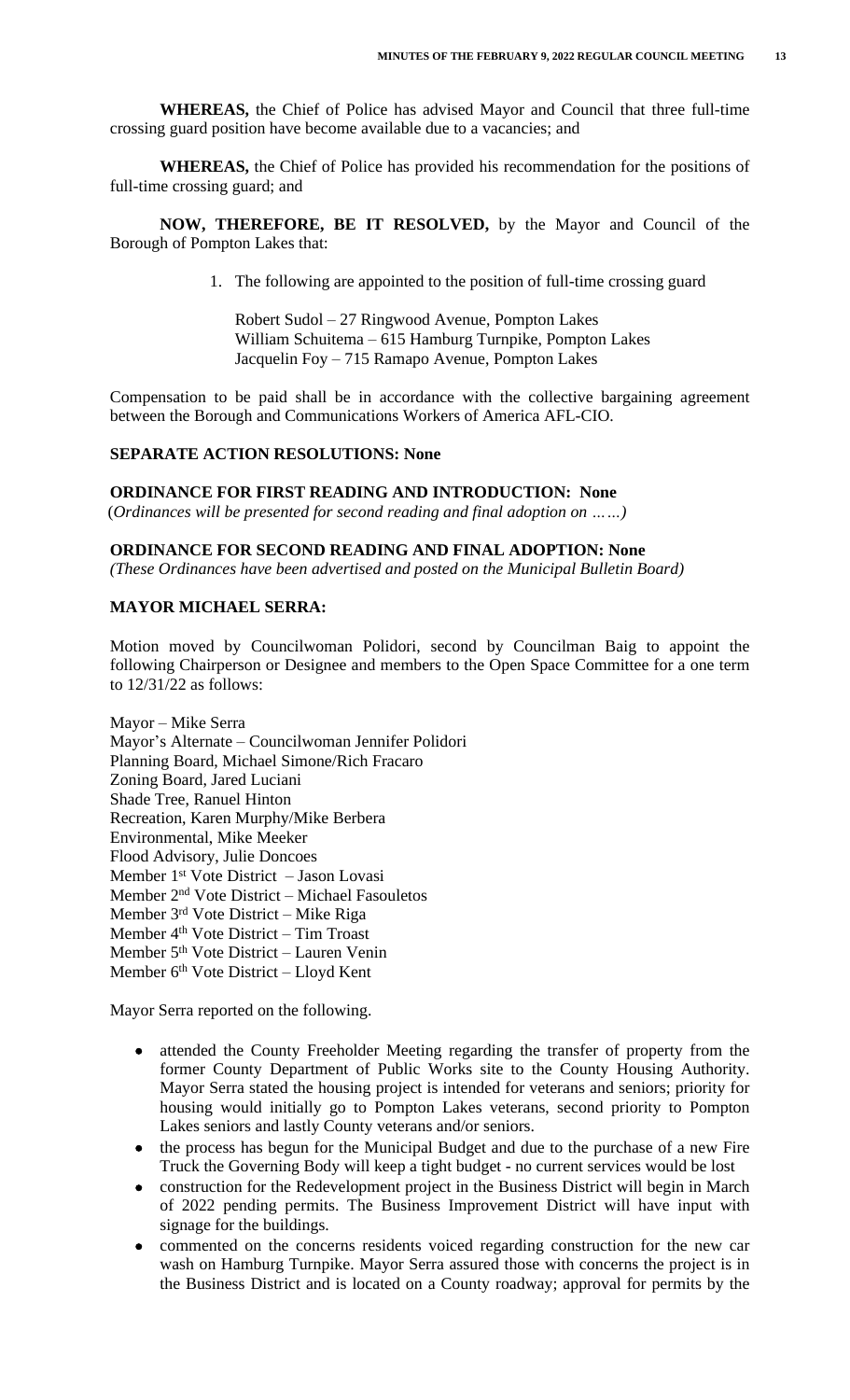**WHEREAS,** the Chief of Police has advised Mayor and Council that three full-time crossing guard position have become available due to a vacancies; and

**WHEREAS,** the Chief of Police has provided his recommendation for the positions of full-time crossing guard; and

**NOW, THEREFORE, BE IT RESOLVED,** by the Mayor and Council of the Borough of Pompton Lakes that:

1. The following are appointed to the position of full-time crossing guard

Robert Sudol – 27 Ringwood Avenue, Pompton Lakes William Schuitema – 615 Hamburg Turnpike, Pompton Lakes Jacquelin Foy – 715 Ramapo Avenue, Pompton Lakes

Compensation to be paid shall be in accordance with the collective bargaining agreement between the Borough and Communications Workers of America AFL-CIO.

## **SEPARATE ACTION RESOLUTIONS: None**

**ORDINANCE FOR FIRST READING AND INTRODUCTION: None**

(*Ordinances will be presented for second reading and final adoption on ……)*

#### **ORDINANCE FOR SECOND READING AND FINAL ADOPTION: None**

*(These Ordinances have been advertised and posted on the Municipal Bulletin Board)*

## **MAYOR MICHAEL SERRA:**

Motion moved by Councilwoman Polidori, second by Councilman Baig to appoint the following Chairperson or Designee and members to the Open Space Committee for a one term to 12/31/22 as follows:

Mayor – Mike Serra Mayor's Alternate – Councilwoman Jennifer Polidori Planning Board, Michael Simone/Rich Fracaro Zoning Board, Jared Luciani Shade Tree, Ranuel Hinton Recreation, Karen Murphy/Mike Berbera Environmental, Mike Meeker Flood Advisory, Julie Doncoes Member 1st Vote District – Jason Lovasi Member 2nd Vote District – Michael Fasouletos Member 3rd Vote District – Mike Riga Member 4th Vote District – Tim Troast Member 5th Vote District – Lauren Venin Member 6<sup>th</sup> Vote District – Lloyd Kent

Mayor Serra reported on the following.

- attended the County Freeholder Meeting regarding the transfer of property from the former County Department of Public Works site to the County Housing Authority. Mayor Serra stated the housing project is intended for veterans and seniors; priority for housing would initially go to Pompton Lakes veterans, second priority to Pompton Lakes seniors and lastly County veterans and/or seniors.
- the process has begun for the Municipal Budget and due to the purchase of a new Fire Truck the Governing Body will keep a tight budget - no current services would be lost
- construction for the Redevelopment project in the Business District will begin in March of 2022 pending permits. The Business Improvement District will have input with signage for the buildings.
- commented on the concerns residents voiced regarding construction for the new car wash on Hamburg Turnpike. Mayor Serra assured those with concerns the project is in the Business District and is located on a County roadway; approval for permits by the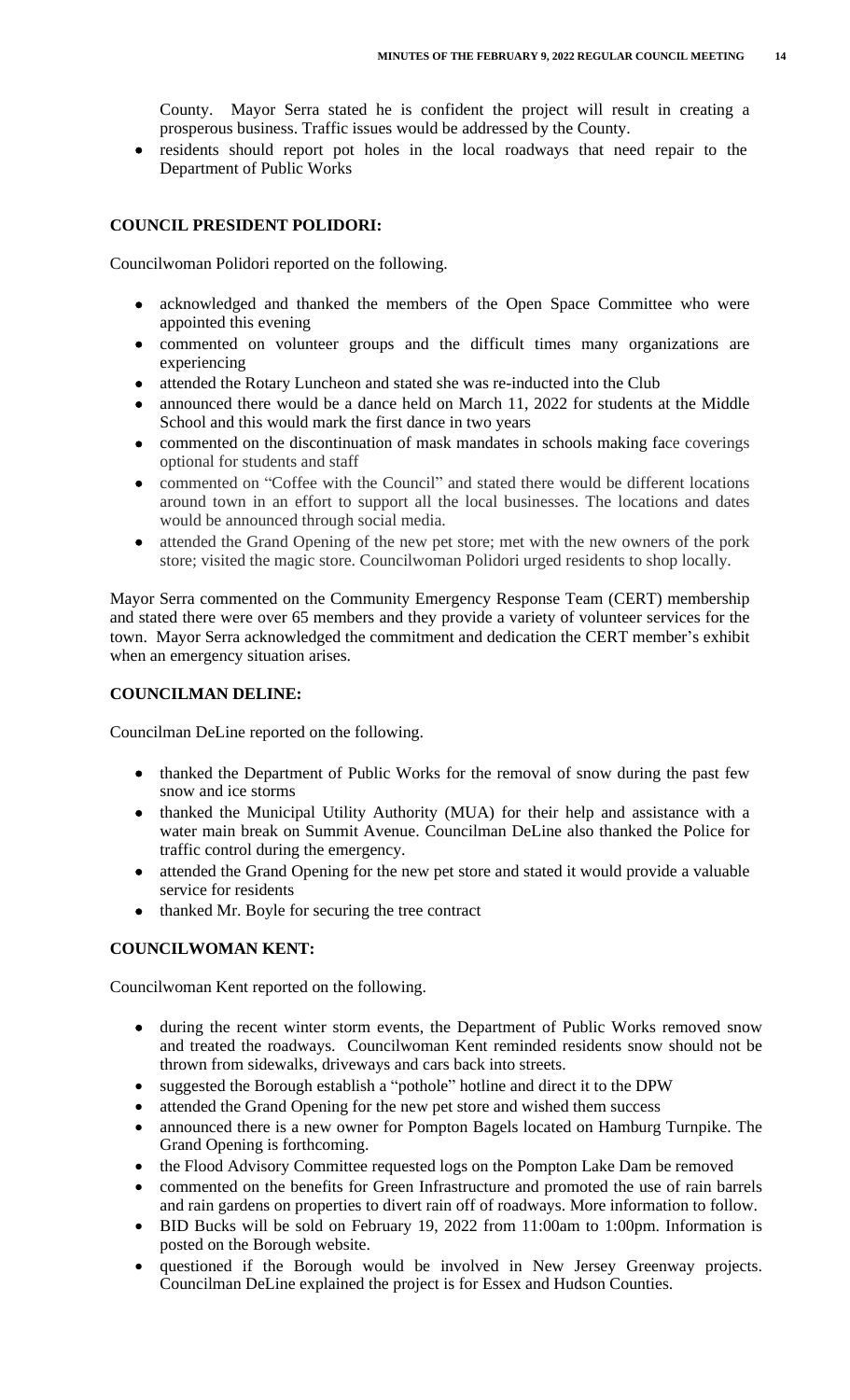County. Mayor Serra stated he is confident the project will result in creating a prosperous business. Traffic issues would be addressed by the County.

 residents should report pot holes in the local roadways that need repair to the Department of Public Works

# **COUNCIL PRESIDENT POLIDORI:**

Councilwoman Polidori reported on the following.

- acknowledged and thanked the members of the Open Space Committee who were appointed this evening
- commented on volunteer groups and the difficult times many organizations are experiencing
- attended the Rotary Luncheon and stated she was re-inducted into the Club
- announced there would be a dance held on March 11, 2022 for students at the Middle School and this would mark the first dance in two years
- commented on the discontinuation of mask mandates in schools making face coverings optional for students and staff
- commented on "Coffee with the Council" and stated there would be different locations around town in an effort to support all the local businesses. The locations and dates would be announced through social media.
- attended the Grand Opening of the new pet store; met with the new owners of the pork store; visited the magic store. Councilwoman Polidori urged residents to shop locally.

Mayor Serra commented on the Community Emergency Response Team (CERT) membership and stated there were over 65 members and they provide a variety of volunteer services for the town. Mayor Serra acknowledged the commitment and dedication the CERT member's exhibit when an emergency situation arises.

#### **COUNCILMAN DELINE:**

Councilman DeLine reported on the following.

- thanked the Department of Public Works for the removal of snow during the past few snow and ice storms
- thanked the Municipal Utility Authority (MUA) for their help and assistance with a water main break on Summit Avenue. Councilman DeLine also thanked the Police for traffic control during the emergency.
- attended the Grand Opening for the new pet store and stated it would provide a valuable service for residents
- thanked Mr. Boyle for securing the tree contract

# **COUNCILWOMAN KENT:**

Councilwoman Kent reported on the following.

- during the recent winter storm events, the Department of Public Works removed snow and treated the roadways. Councilwoman Kent reminded residents snow should not be thrown from sidewalks, driveways and cars back into streets.
- suggested the Borough establish a "pothole" hotline and direct it to the DPW
- attended the Grand Opening for the new pet store and wished them success
- announced there is a new owner for Pompton Bagels located on Hamburg Turnpike. The Grand Opening is forthcoming.
- the Flood Advisory Committee requested logs on the Pompton Lake Dam be removed
- commented on the benefits for Green Infrastructure and promoted the use of rain barrels and rain gardens on properties to divert rain off of roadways. More information to follow.
- BID Bucks will be sold on February 19, 2022 from 11:00am to 1:00pm. Information is posted on the Borough website.
- questioned if the Borough would be involved in New Jersey Greenway projects. Councilman DeLine explained the project is for Essex and Hudson Counties.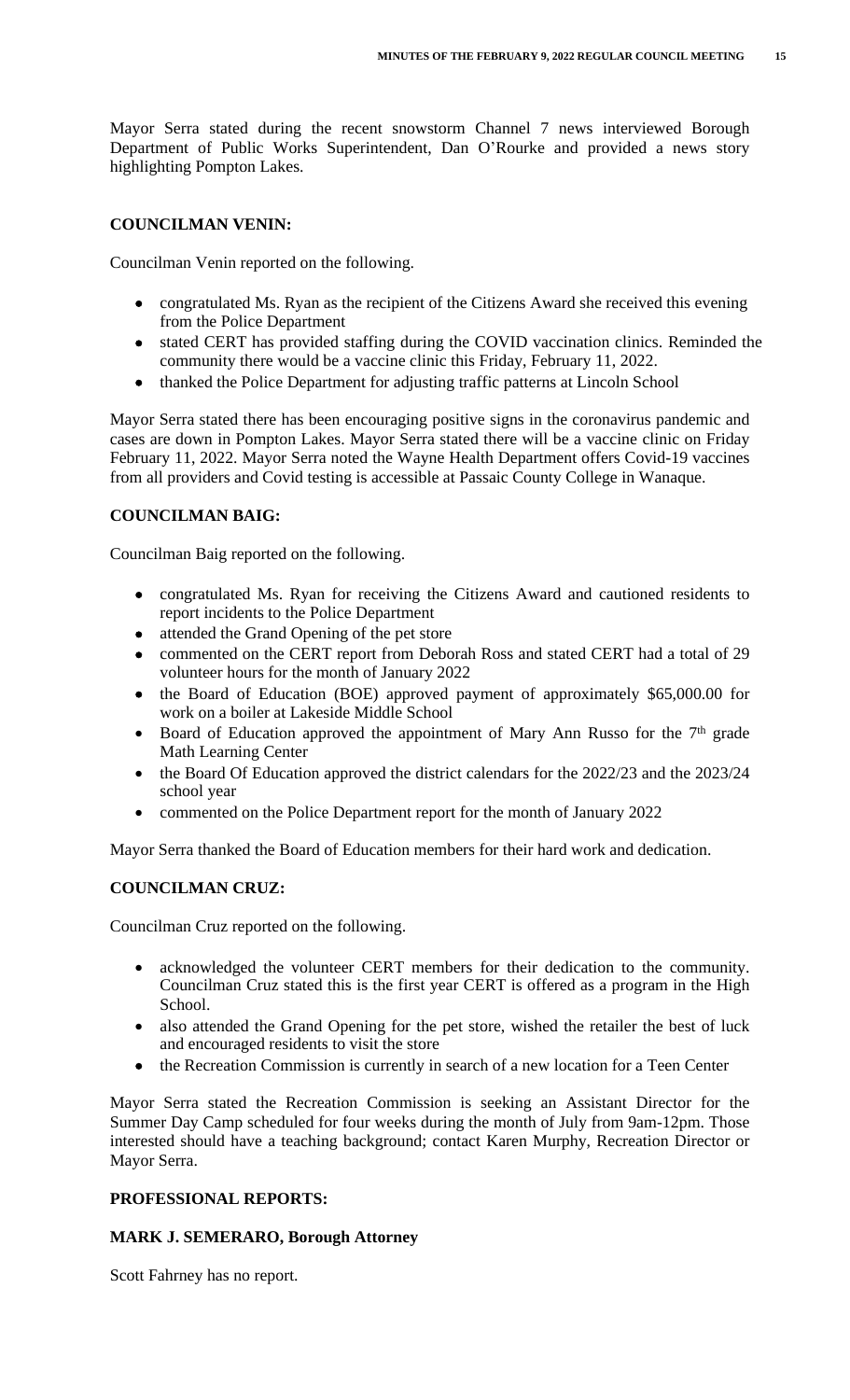Mayor Serra stated during the recent snowstorm Channel 7 news interviewed Borough Department of Public Works Superintendent, Dan O'Rourke and provided a news story highlighting Pompton Lakes.

## **COUNCILMAN VENIN:**

Councilman Venin reported on the following.

- congratulated Ms. Ryan as the recipient of the Citizens Award she received this evening from the Police Department
- stated CERT has provided staffing during the COVID vaccination clinics. Reminded the community there would be a vaccine clinic this Friday, February 11, 2022.
- thanked the Police Department for adjusting traffic patterns at Lincoln School

Mayor Serra stated there has been encouraging positive signs in the coronavirus pandemic and cases are down in Pompton Lakes. Mayor Serra stated there will be a vaccine clinic on Friday February 11, 2022. Mayor Serra noted the Wayne Health Department offers Covid-19 vaccines from all providers and Covid testing is accessible at Passaic County College in Wanaque.

# **COUNCILMAN BAIG:**

Councilman Baig reported on the following.

- congratulated Ms. Ryan for receiving the Citizens Award and cautioned residents to report incidents to the Police Department
- attended the Grand Opening of the pet store
- commented on the CERT report from Deborah Ross and stated CERT had a total of 29 volunteer hours for the month of January 2022
- the Board of Education (BOE) approved payment of approximately \$65,000.00 for work on a boiler at Lakeside Middle School
- Board of Education approved the appointment of Mary Ann Russo for the  $7<sup>th</sup>$  grade Math Learning Center
- the Board Of Education approved the district calendars for the 2022/23 and the 2023/24 school year
- commented on the Police Department report for the month of January 2022

Mayor Serra thanked the Board of Education members for their hard work and dedication.

## **COUNCILMAN CRUZ:**

Councilman Cruz reported on the following.

- acknowledged the volunteer CERT members for their dedication to the community. Councilman Cruz stated this is the first year CERT is offered as a program in the High School.
- also attended the Grand Opening for the pet store, wished the retailer the best of luck and encouraged residents to visit the store
- the Recreation Commission is currently in search of a new location for a Teen Center

Mayor Serra stated the Recreation Commission is seeking an Assistant Director for the Summer Day Camp scheduled for four weeks during the month of July from 9am-12pm. Those interested should have a teaching background; contact Karen Murphy, Recreation Director or Mayor Serra.

## **PROFESSIONAL REPORTS:**

## **MARK J. SEMERARO, Borough Attorney**

Scott Fahrney has no report.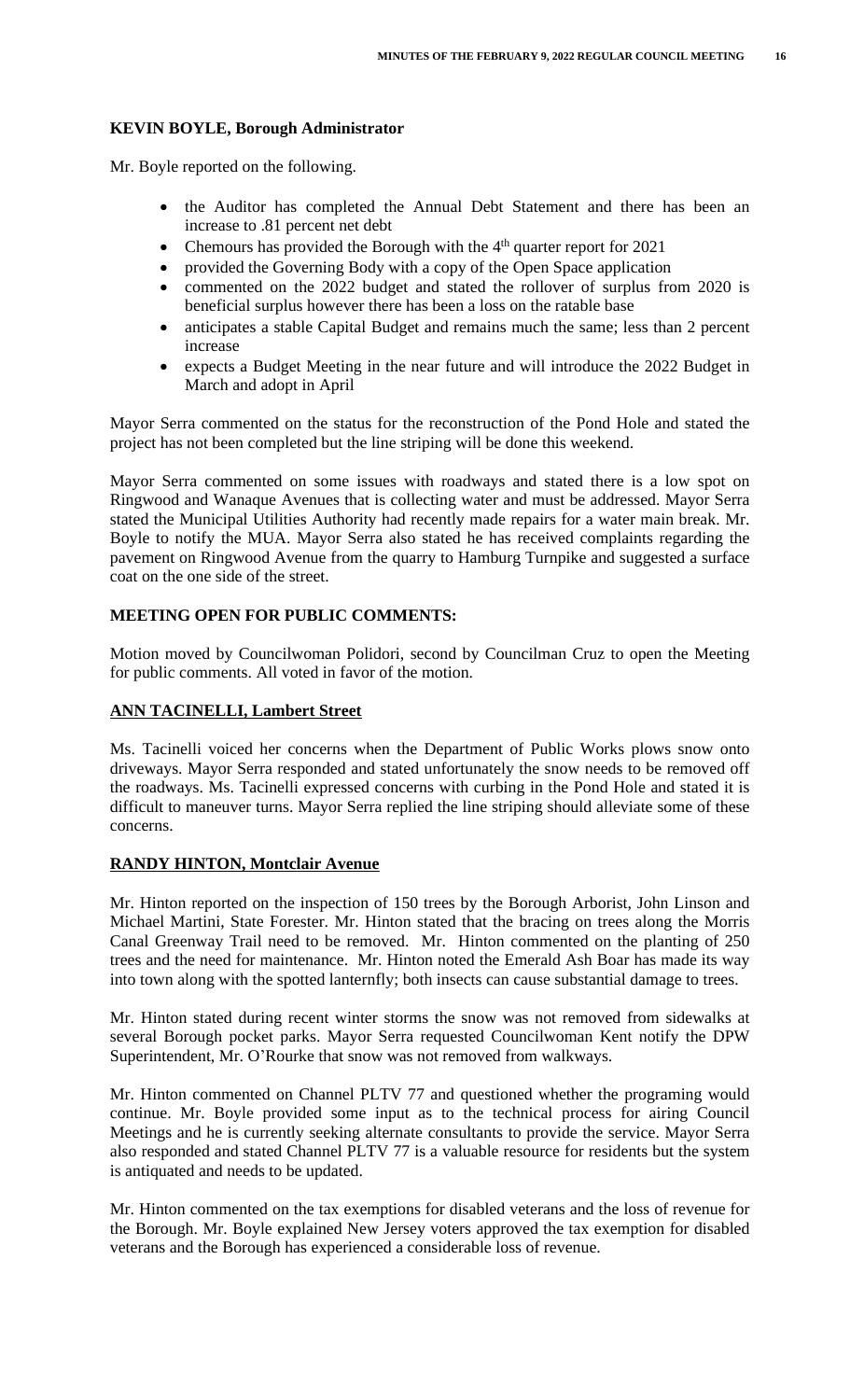## **KEVIN BOYLE, Borough Administrator**

Mr. Boyle reported on the following.

- the Auditor has completed the Annual Debt Statement and there has been an increase to .81 percent net debt
- Chemours has provided the Borough with the 4<sup>th</sup> quarter report for 2021
- provided the Governing Body with a copy of the Open Space application
- commented on the 2022 budget and stated the rollover of surplus from 2020 is beneficial surplus however there has been a loss on the ratable base
- anticipates a stable Capital Budget and remains much the same; less than 2 percent increase
- expects a Budget Meeting in the near future and will introduce the 2022 Budget in March and adopt in April

Mayor Serra commented on the status for the reconstruction of the Pond Hole and stated the project has not been completed but the line striping will be done this weekend.

Mayor Serra commented on some issues with roadways and stated there is a low spot on Ringwood and Wanaque Avenues that is collecting water and must be addressed. Mayor Serra stated the Municipal Utilities Authority had recently made repairs for a water main break. Mr. Boyle to notify the MUA. Mayor Serra also stated he has received complaints regarding the pavement on Ringwood Avenue from the quarry to Hamburg Turnpike and suggested a surface coat on the one side of the street.

# **MEETING OPEN FOR PUBLIC COMMENTS:**

Motion moved by Councilwoman Polidori, second by Councilman Cruz to open the Meeting for public comments. All voted in favor of the motion.

## **ANN TACINELLI, Lambert Street**

Ms. Tacinelli voiced her concerns when the Department of Public Works plows snow onto driveways. Mayor Serra responded and stated unfortunately the snow needs to be removed off the roadways. Ms. Tacinelli expressed concerns with curbing in the Pond Hole and stated it is difficult to maneuver turns. Mayor Serra replied the line striping should alleviate some of these concerns.

## **RANDY HINTON, Montclair Avenue**

Mr. Hinton reported on the inspection of 150 trees by the Borough Arborist, John Linson and Michael Martini, State Forester. Mr. Hinton stated that the bracing on trees along the Morris Canal Greenway Trail need to be removed. Mr. Hinton commented on the planting of 250 trees and the need for maintenance. Mr. Hinton noted the Emerald Ash Boar has made its way into town along with the spotted lanternfly; both insects can cause substantial damage to trees.

Mr. Hinton stated during recent winter storms the snow was not removed from sidewalks at several Borough pocket parks. Mayor Serra requested Councilwoman Kent notify the DPW Superintendent, Mr. O'Rourke that snow was not removed from walkways.

Mr. Hinton commented on Channel PLTV 77 and questioned whether the programing would continue. Mr. Boyle provided some input as to the technical process for airing Council Meetings and he is currently seeking alternate consultants to provide the service. Mayor Serra also responded and stated Channel PLTV 77 is a valuable resource for residents but the system is antiquated and needs to be updated.

Mr. Hinton commented on the tax exemptions for disabled veterans and the loss of revenue for the Borough. Mr. Boyle explained New Jersey voters approved the tax exemption for disabled veterans and the Borough has experienced a considerable loss of revenue.